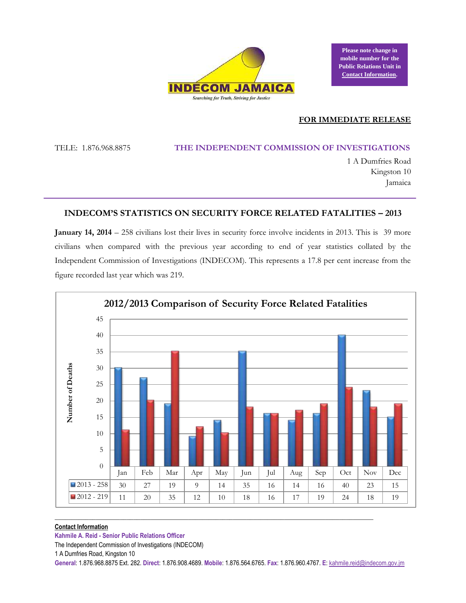

**Please note change in mobile number for the Public Relations Unit in Contact Information.**

## **FOR IMMEDIATE RELEASE**

TELE: 1.876.968.8875 **THE INDEPENDENT COMMISSION OF INVESTIGATIONS** 

1 A Dumfries Road Kingston 10 Jamaica

# **INDECOM'S STATISTICS ON SECURITY FORCE RELATED FATALITIES – 2013**

**January 14, 2014** – 258 civilians lost their lives in security force involve incidents in 2013. This is 39 more civilians when compared with the previous year according to end of year statistics collated by the Independent Commission of Investigations (INDECOM). This represents a 17.8 per cent increase from the figure recorded last year which was 219.



#### **Contact Information**

**Kahmile A. Reid - Senior Public Relations Officer**

The Independent Commission of Investigations (INDECOM)

1 A Dumfries Road, Kingston 10

**General**: 1.876.968.8875 Ext. 282. **Direct**: 1.876.908.4689. **Mobile**: 1.876.564.6765. **Fax**: 1.876.960.4767. **E**[: kahmile.reid@indecom.gov.jm](mailto:kahmile.reid@indecom.gov.jm)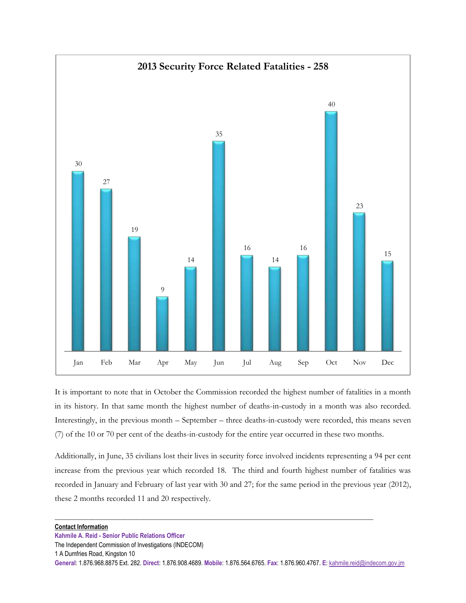

It is important to note that in October the Commission recorded the highest number of fatalities in a month in its history. In that same month the highest number of deaths-in-custody in a month was also recorded. Interestingly, in the previous month – September – three deaths-in-custody were recorded, this means seven (7) of the 10 or 70 per cent of the deaths-in-custody for the entire year occurred in these two months.

Additionally, in June, 35 civilians lost their lives in security force involved incidents representing a 94 per cent increase from the previous year which recorded 18. The third and fourth highest number of fatalities was recorded in January and February of last year with 30 and 27; for the same period in the previous year (2012), these 2 months recorded 11 and 20 respectively.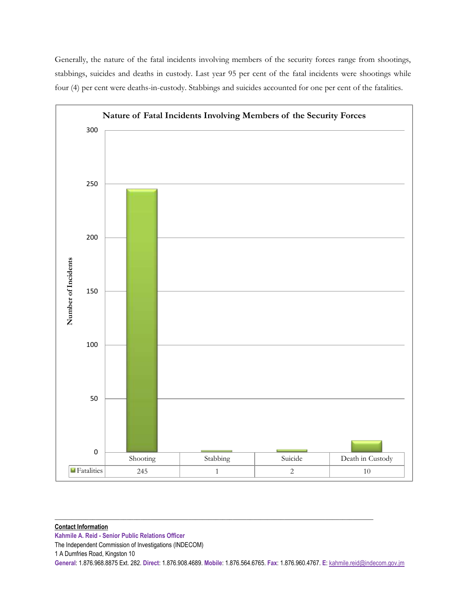Generally, the nature of the fatal incidents involving members of the security forces range from shootings, stabbings, suicides and deaths in custody. Last year 95 per cent of the fatal incidents were shootings while four (4) per cent were deaths-in-custody. Stabbings and suicides accounted for one per cent of the fatalities.

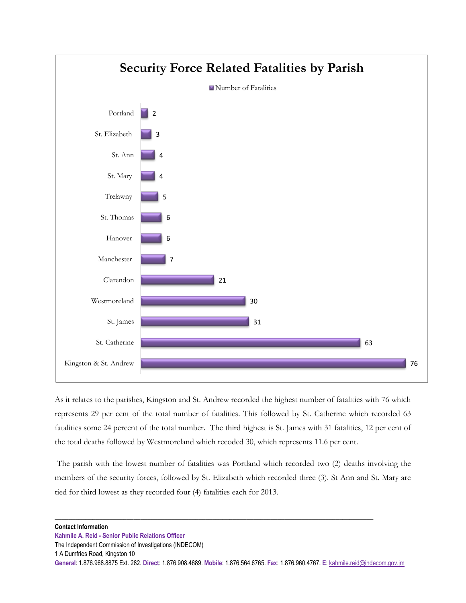

As it relates to the parishes, Kingston and St. Andrew recorded the highest number of fatalities with 76 which represents 29 per cent of the total number of fatalities. This followed by St. Catherine which recorded 63 fatalities some 24 percent of the total number. The third highest is St. James with 31 fatalities, 12 per cent of the total deaths followed by Westmoreland which recoded 30, which represents 11.6 per cent.

The parish with the lowest number of fatalities was Portland which recorded two (2) deaths involving the members of the security forces, followed by St. Elizabeth which recorded three (3). St Ann and St. Mary are tied for third lowest as they recorded four (4) fatalities each for 2013.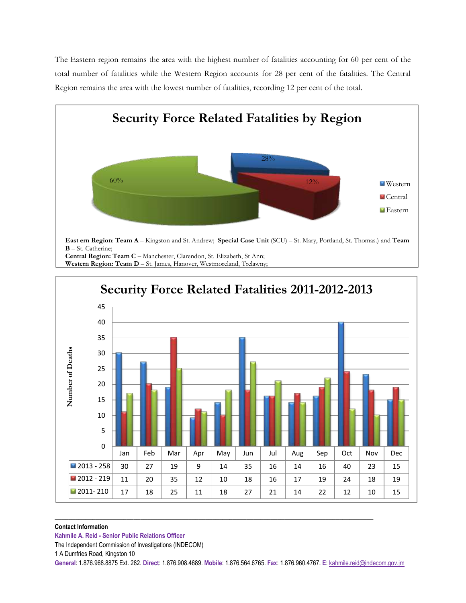The Eastern region remains the area with the highest number of fatalities accounting for 60 per cent of the total number of fatalities while the Western Region accounts for 28 per cent of the fatalities. The Central Region remains the area with the lowest number of fatalities, recording 12 per cent of the total.





#### **Contact Information**

**Kahmile A. Reid - Senior Public Relations Officer**

The Independent Commission of Investigations (INDECOM)

1 A Dumfries Road, Kingston 10

**General**: 1.876.968.8875 Ext. 282. **Direct**: 1.876.908.4689. **Mobile**: 1.876.564.6765. **Fax**: 1.876.960.4767. **E**[: kahmile.reid@indecom.gov.jm](mailto:kahmile.reid@indecom.gov.jm)